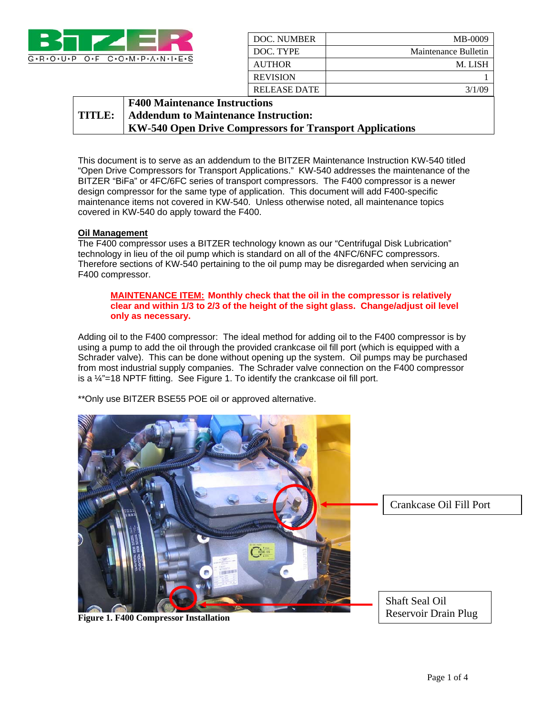

| DOC. NUMBER         | MB-0009              |
|---------------------|----------------------|
| DOC. TYPE           | Maintenance Bulletin |
| <b>AUTHOR</b>       | M. LISH              |
| <b>REVISION</b>     |                      |
| <b>RELEASE DATE</b> | 3/1/09               |

#### **TITLE: F400 Maintenance Instructions Addendum to Maintenance Instruction: KW-540 Open Drive Compressors for Transport Applications**

This document is to serve as an addendum to the BITZER Maintenance Instruction KW-540 titled "Open Drive Compressors for Transport Applications." KW-540 addresses the maintenance of the BITZER "BiFa" or 4FC/6FC series of transport compressors. The F400 compressor is a newer design compressor for the same type of application. This document will add F400-specific maintenance items not covered in KW-540. Unless otherwise noted, all maintenance topics covered in KW-540 do apply toward the F400.

## **Oil Management**

The F400 compressor uses a BITZER technology known as our "Centrifugal Disk Lubrication" technology in lieu of the oil pump which is standard on all of the 4NFC/6NFC compressors. Therefore sections of KW-540 pertaining to the oil pump may be disregarded when servicing an F400 compressor.

### **MAINTENANCE ITEM: Monthly check that the oil in the compressor is relatively clear and within 1/3 to 2/3 of the height of the sight glass. Change/adjust oil level only as necessary.**

Adding oil to the F400 compressor: The ideal method for adding oil to the F400 compressor is by using a pump to add the oil through the provided crankcase oil fill port (which is equipped with a Schrader valve). This can be done without opening up the system. Oil pumps may be purchased from most industrial supply companies. The Schrader valve connection on the F400 compressor is a ¼"=18 NPTF fitting. See Figure 1. To identify the crankcase oil fill port.

\*\*Only use BITZER BSE55 POE oil or approved alternative.



**Figure 1. F400 Compressor Installation**

Reservoir Drain Plug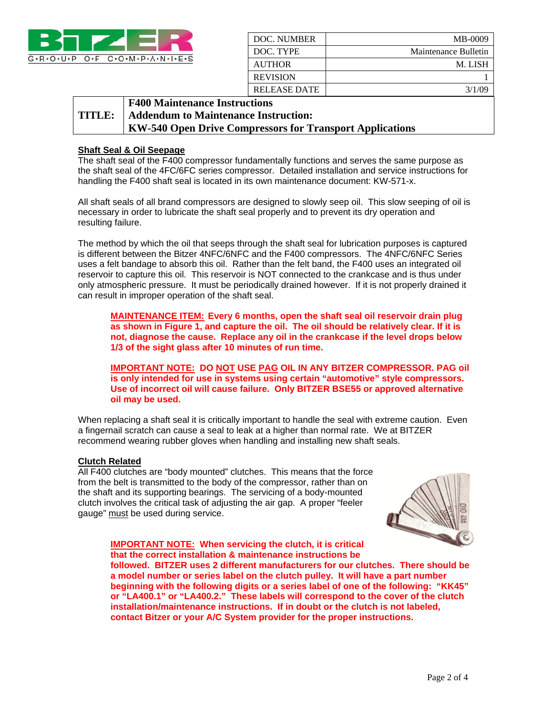

| DOC. NUMBER     | MB-0009              |
|-----------------|----------------------|
| DOC. TYPE       | Maintenance Bulletin |
| <b>AUTHOR</b>   | M. LISH              |
| <b>REVISION</b> |                      |
| RELEASE DATE    | 3/1/00               |

#### **TITLE: F400 Maintenance Instructions Addendum to Maintenance Instruction: KW-540 Open Drive Compressors for Transport Applications**

## **Shaft Seal & Oil Seepage**

The shaft seal of the F400 compressor fundamentally functions and serves the same purpose as the shaft seal of the 4FC/6FC series compressor. Detailed installation and service instructions for handling the F400 shaft seal is located in its own maintenance document: KW-571-x.

All shaft seals of all brand compressors are designed to slowly seep oil. This slow seeping of oil is necessary in order to lubricate the shaft seal properly and to prevent its dry operation and resulting failure.

The method by which the oil that seeps through the shaft seal for lubrication purposes is captured is different between the Bitzer 4NFC/6NFC and the F400 compressors. The 4NFC/6NFC Series uses a felt bandage to absorb this oil. Rather than the felt band, the F400 uses an integrated oil reservoir to capture this oil. This reservoir is NOT connected to the crankcase and is thus under only atmospheric pressure. It must be periodically drained however. If it is not properly drained it can result in improper operation of the shaft seal.

**MAINTENANCE ITEM: Every 6 months, open the shaft seal oil reservoir drain plug as shown in Figure 1, and capture the oil. The oil should be relatively clear. If it is not, diagnose the cause. Replace any oil in the crankcase if the level drops below 1/3 of the sight glass after 10 minutes of run time.** 

**IMPORTANT NOTE: DO NOT USE PAG OIL IN ANY BITZER COMPRESSOR. PAG oil is only intended for use in systems using certain "automotive" style compressors. Use of incorrect oil will cause failure. Only BITZER BSE55 or approved alternative oil may be used.** 

When replacing a shaft seal it is critically important to handle the seal with extreme caution. Even a fingernail scratch can cause a seal to leak at a higher than normal rate. We at BITZER recommend wearing rubber gloves when handling and installing new shaft seals.

### **Clutch Related**

All F400 clutches are "body mounted" clutches. This means that the force from the belt is transmitted to the body of the compressor, rather than on the shaft and its supporting bearings. The servicing of a body-mounted clutch involves the critical task of adjusting the air gap. A proper "feeler gauge" must be used during service.



**IMPORTANT NOTE: When servicing the clutch, it is critical that the correct installation & maintenance instructions be** 

**followed. BITZER uses 2 different manufacturers for our clutches. There should be a model number or series label on the clutch pulley. It will have a part number beginning with the following digits or a series label of one of the following: "KK45" or "LA400.1" or "LA400.2." These labels will correspond to the cover of the clutch installation/maintenance instructions. If in doubt or the clutch is not labeled, contact Bitzer or your A/C System provider for the proper instructions.**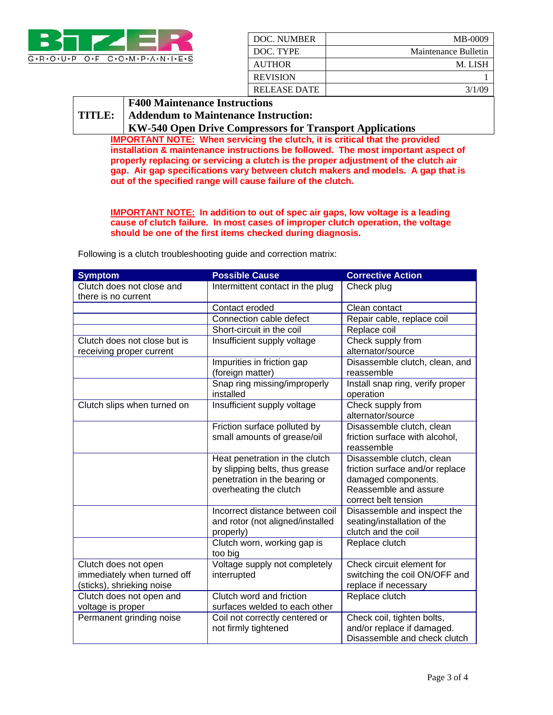

| DOC. NUMBER     | MB-0009              |
|-----------------|----------------------|
| DOC. TYPE       | Maintenance Bulletin |
| <b>AUTHOR</b>   | M. LISH              |
| <b>REVISION</b> |                      |
| RELEASE DATE    | 3/1/09               |

### **TITLE: F400 Maintenance Instructions**

# **Addendum to Maintenance Instruction:**

**KW-540 Open Drive Compressors for Transport Applications** 

**IMPORTANT NOTE: When servicing the clutch, it is critical that the provided installation & maintenance instructions be followed. The most important aspect of properly replacing or servicing a clutch is the proper adjustment of the clutch air gap. Air gap specifications vary between clutch makers and models. A gap that is out of the specified range will cause failure of the clutch.** 

**IMPORTANT NOTE: In addition to out of spec air gaps, low voltage is a leading cause of clutch failure. In most cases of improper clutch operation, the voltage should be one of the first items checked during diagnosis.** 

Following is a clutch troubleshooting guide and correction matrix:

| <b>Symptom</b>                                   | <b>Possible Cause</b>                                   | <b>Corrective Action</b>                     |
|--------------------------------------------------|---------------------------------------------------------|----------------------------------------------|
| Clutch does not close and<br>there is no current | Intermittent contact in the plug                        | Check plug                                   |
|                                                  | Contact eroded                                          | Clean contact                                |
|                                                  | Connection cable defect                                 | Repair cable, replace coil                   |
|                                                  | Short-circuit in the coil                               | Replace coil                                 |
| Clutch does not close but is                     | Insufficient supply voltage                             | Check supply from                            |
| receiving proper current                         |                                                         | alternator/source                            |
|                                                  | Impurities in friction gap<br>(foreign matter)          | Disassemble clutch, clean, and<br>reassemble |
|                                                  | Snap ring missing/improperly                            | Install snap ring, verify proper             |
|                                                  | installed                                               | operation                                    |
| Clutch slips when turned on                      | Insufficient supply voltage                             | Check supply from                            |
|                                                  |                                                         | alternator/source                            |
|                                                  | Friction surface polluted by                            | Disassemble clutch, clean                    |
|                                                  | small amounts of grease/oil                             | friction surface with alcohol,               |
|                                                  |                                                         | reassemble                                   |
|                                                  | Heat penetration in the clutch                          | Disassemble clutch, clean                    |
|                                                  | by slipping belts, thus grease                          | friction surface and/or replace              |
|                                                  | penetration in the bearing or<br>overheating the clutch | damaged components.<br>Reassemble and assure |
|                                                  |                                                         | correct belt tension                         |
|                                                  | Incorrect distance between coil                         | Disassemble and inspect the                  |
|                                                  | and rotor (not aligned/installed                        | seating/installation of the                  |
|                                                  | properly)                                               | clutch and the coil                          |
|                                                  | Clutch worn, working gap is                             | Replace clutch                               |
|                                                  | too big                                                 |                                              |
| Clutch does not open                             | Voltage supply not completely                           | Check circuit element for                    |
| immediately when turned off                      | interrupted                                             | switching the coil ON/OFF and                |
| (sticks), shrieking noise                        |                                                         | replace if necessary                         |
| Clutch does not open and                         | Clutch word and friction                                | Replace clutch                               |
| voltage is proper                                | surfaces welded to each other                           |                                              |
| Permanent grinding noise                         | Coil not correctly centered or                          | Check coil, tighten bolts,                   |
|                                                  | not firmly tightened                                    | and/or replace if damaged.                   |
|                                                  |                                                         | Disassemble and check clutch                 |